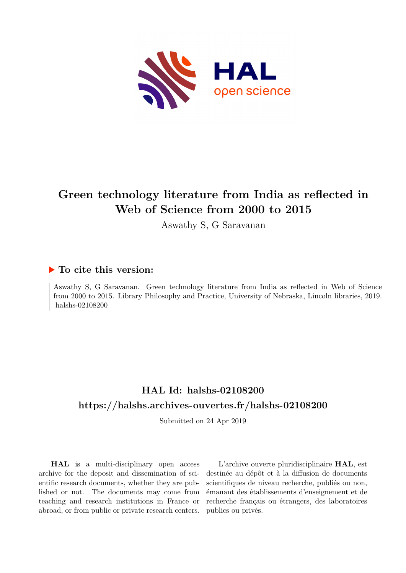

# **Green technology literature from India as reflected in Web of Science from 2000 to 2015**

Aswathy S, G Saravanan

# **To cite this version:**

Aswathy S, G Saravanan. Green technology literature from India as reflected in Web of Science from 2000 to 2015. Library Philosophy and Practice, University of Nebraska, Lincoln libraries, 2019. halshs- $02108200$ 

# **HAL Id: halshs-02108200 <https://halshs.archives-ouvertes.fr/halshs-02108200>**

Submitted on 24 Apr 2019

**HAL** is a multi-disciplinary open access archive for the deposit and dissemination of scientific research documents, whether they are published or not. The documents may come from teaching and research institutions in France or abroad, or from public or private research centers.

L'archive ouverte pluridisciplinaire **HAL**, est destinée au dépôt et à la diffusion de documents scientifiques de niveau recherche, publiés ou non, émanant des établissements d'enseignement et de recherche français ou étrangers, des laboratoires publics ou privés.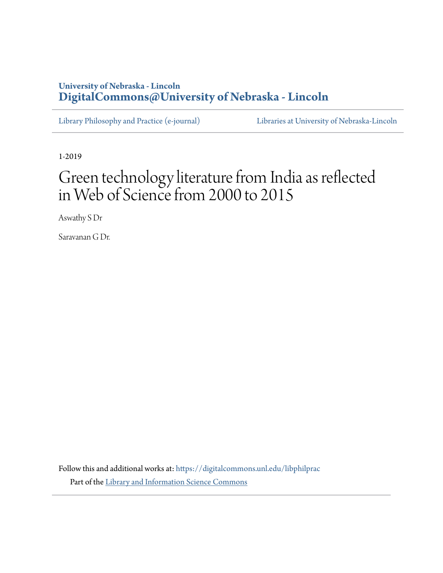# **University of Nebraska - Lincoln [DigitalCommons@University of Nebraska - Lincoln](https://digitalcommons.unl.edu?utm_source=digitalcommons.unl.edu%2Flibphilprac%2F2188&utm_medium=PDF&utm_campaign=PDFCoverPages)**

[Library Philosophy and Practice \(e-journal\)](https://digitalcommons.unl.edu/libphilprac?utm_source=digitalcommons.unl.edu%2Flibphilprac%2F2188&utm_medium=PDF&utm_campaign=PDFCoverPages) [Libraries at University of Nebraska-Lincoln](https://digitalcommons.unl.edu/libraries?utm_source=digitalcommons.unl.edu%2Flibphilprac%2F2188&utm_medium=PDF&utm_campaign=PDFCoverPages)

1-2019

# Green technology literature from India as reflected in Web of Science from 2000 to 2015

Aswathy S Dr

Saravanan G Dr.

Follow this and additional works at: [https://digitalcommons.unl.edu/libphilprac](https://digitalcommons.unl.edu/libphilprac?utm_source=digitalcommons.unl.edu%2Flibphilprac%2F2188&utm_medium=PDF&utm_campaign=PDFCoverPages) Part of the [Library and Information Science Commons](http://network.bepress.com/hgg/discipline/1018?utm_source=digitalcommons.unl.edu%2Flibphilprac%2F2188&utm_medium=PDF&utm_campaign=PDFCoverPages)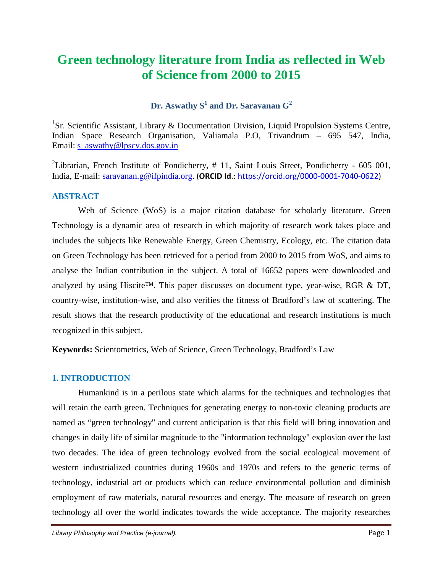# **Green technology literature from India as reflected in Web of Science from 2000 to 2015**

# **Dr. Aswathy S<sup>1</sup> and Dr. Saravanan G2**

<sup>1</sup>Sr. Scientific Assistant, Library & Documentation Division, Liquid Propulsion Systems Centre, Indian Space Research Organisation, Valiamala P.O, Trivandrum – 695 547, India, Email: [s\\_aswathy@lpscv.dos.gov.in](mailto:s_aswathy@lpscv.dos.gov.in)

<sup>2</sup>Librarian, French Institute of Pondicherry,  $# 11$ , Saint Louis Street, Pondicherry - 605 001, India, E-mail: [saravanan.g@ifpindia.org](mailto:saravanan.g@ifpindia.org). (**ORCID Id**.: [https://orcid.org/0000-0001-7040-0622\)](https://orcid.org/0000-0001-7040-0622)

# **ABSTRACT**

Web of Science (WoS) is a major citation database for scholarly literature. Green Technology is a dynamic area of research in which majority of research work takes place and includes the subjects like Renewable Energy, Green Chemistry, Ecology, etc. The citation data on Green Technology has been retrieved for a period from 2000 to 2015 from WoS, and aims to analyse the Indian contribution in the subject. A total of 16652 papers were downloaded and analyzed by using Hiscite<sup>TM</sup>. This paper discusses on document type, year-wise, RGR  $& DT$ , country-wise, institution-wise, and also verifies the fitness of Bradford's law of scattering. The result shows that the research productivity of the educational and research institutions is much recognized in this subject.

**Keywords:** Scientometrics, Web of Science, Green Technology, Bradford's Law

# **1. INTRODUCTION**

Humankind is in a perilous state which alarms for the techniques and technologies that will retain the earth green. Techniques for generating energy to non-toxic cleaning products are named as "green technology" and current anticipation is that this field will bring innovation and changes in daily life of similar magnitude to the "information technology" explosion over the last two decades. The idea of green technology evolved from the social ecological movement of western industrialized countries during 1960s and 1970s and refers to the generic terms of technology, industrial art or products which can reduce environmental pollution and diminish employment of raw materials, natural resources and energy. The measure of research on green technology all over the world indicates towards the wide acceptance. The majority researches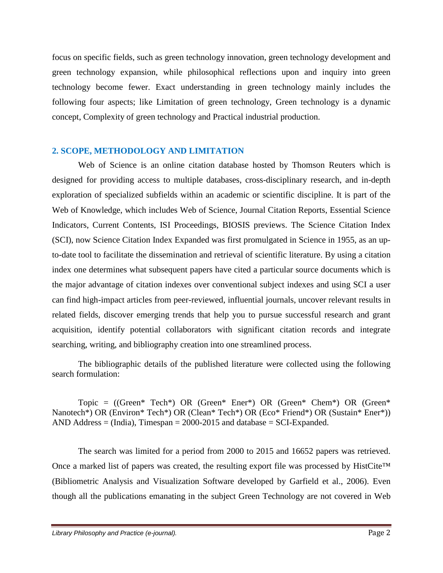focus on specific fields, such as green technology innovation, green technology development and green technology expansion, while philosophical reflections upon and inquiry into green technology become fewer. Exact understanding in green technology mainly includes the following four aspects; like Limitation of green technology, Green technology is a dynamic concept, Complexity of green technology and Practical industrial production.

# **2. SCOPE, METHODOLOGY AND LIMITATION**

Web of Science is an online citation database hosted by Thomson Reuters which is designed for providing access to multiple databases, cross-disciplinary research, and in-depth exploration of specialized subfields within an academic or scientific discipline. It is part of the Web of Knowledge, which includes Web of Science, Journal Citation Reports, Essential Science Indicators, Current Contents, ISI Proceedings, BIOSIS previews. The Science Citation Index (SCI), now Science Citation Index Expanded was first promulgated in Science in 1955, as an upto-date tool to facilitate the dissemination and retrieval of scientific literature. By using a citation index one determines what subsequent papers have cited a particular source documents which is the major advantage of citation indexes over conventional subject indexes and using SCI a user can find high-impact articles from peer-reviewed, influential journals, uncover relevant results in related fields, discover emerging trends that help you to pursue successful research and grant acquisition, identify potential collaborators with significant citation records and integrate searching, writing, and bibliography creation into one streamlined process.

The bibliographic details of the published literature were collected using the following search formulation:

Topic =  $((Green^* Tech^*) OR (Green^* Enter^*) OR (Green^* Chen^*) OR (Green^*) OR (Green^*) OR (Green^*))$ Nanotech\*) OR (Environ\* Tech\*) OR (Clean\* Tech\*) OR (Eco\* Friend\*) OR (Sustain\* Ener\*)) AND Address  $=$  (India), Timespan  $=$  2000-2015 and database  $=$  SCI-Expanded.

The search was limited for a period from 2000 to 2015 and 16652 papers was retrieved. Once a marked list of papers was created, the resulting export file was processed by HistCite™ (Bibliometric Analysis and Visualization Software developed by Garfield et al., 2006). Even though all the publications emanating in the subject Green Technology are not covered in Web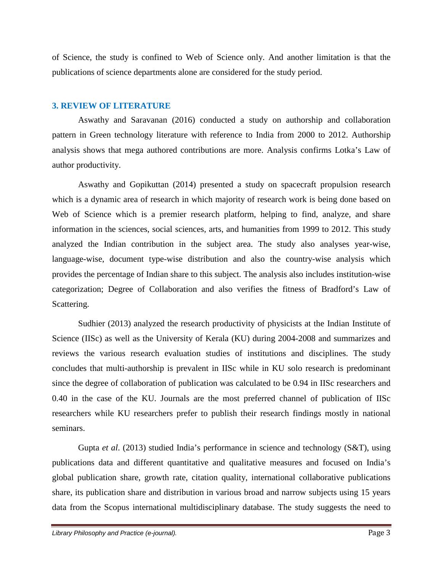of Science, the study is confined to Web of Science only. And another limitation is that the publications of science departments alone are considered for the study period.

## **3. REVIEW OF LITERATURE**

Aswathy and Saravanan (2016) conducted a study on authorship and collaboration pattern in Green technology literature with reference to India from 2000 to 2012. Authorship analysis shows that mega authored contributions are more. Analysis confirms Lotka's Law of author productivity.

Aswathy and Gopikuttan (2014) presented a study on spacecraft propulsion research which is a dynamic area of research in which majority of research work is being done based on Web of Science which is a premier research platform, helping to find, analyze, and share information in the sciences, social sciences, arts, and humanities from 1999 to 2012. This study analyzed the Indian contribution in the subject area. The study also analyses year-wise, language-wise, document type-wise distribution and also the country-wise analysis which provides the percentage of Indian share to this subject. The analysis also includes institution-wise categorization; Degree of Collaboration and also verifies the fitness of Bradford's Law of Scattering.

Sudhier (2013) analyzed the research productivity of physicists at the Indian Institute of Science (IISc) as well as the University of Kerala (KU) during 2004-2008 and summarizes and reviews the various research evaluation studies of institutions and disciplines. The study concludes that multi-authorship is prevalent in IISc while in KU solo research is predominant since the degree of collaboration of publication was calculated to be 0.94 in IISc researchers and 0.40 in the case of the KU. Journals are the most preferred channel of publication of IISc researchers while KU researchers prefer to publish their research findings mostly in national seminars.

Gupta *et al*. (2013) studied India's performance in science and technology (S&T), using publications data and different quantitative and qualitative measures and focused on India's global publication share, growth rate, citation quality, international collaborative publications share, its publication share and distribution in various broad and narrow subjects using 15 years data from the Scopus international multidisciplinary database. The study suggests the need to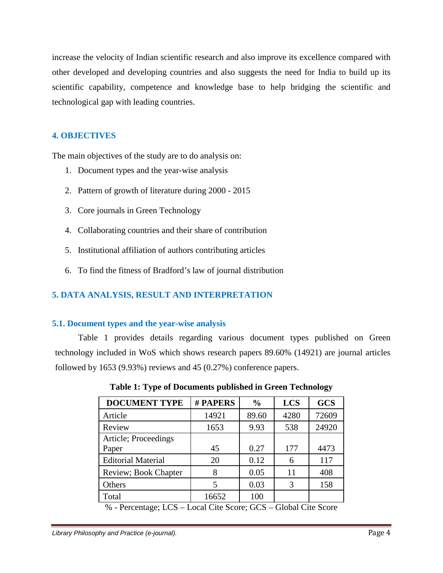increase the velocity of Indian scientific research and also improve its excellence compared with other developed and developing countries and also suggests the need for India to build up its scientific capability, competence and knowledge base to help bridging the scientific and technological gap with leading countries.

# **4. OBJECTIVES**

The main objectives of the study are to do analysis on:

- 1. Document types and the year-wise analysis
- 2. Pattern of growth of literature during 2000 2015
- 3. Core journals in Green Technology
- 4. Collaborating countries and their share of contribution
- 5. Institutional affiliation of authors contributing articles
- 6. To find the fitness of Bradford's law of journal distribution

# **5. DATA ANALYSIS, RESULT AND INTERPRETATION**

# **5.1. Document types and the year-wise analysis**

Table 1 provides details regarding various document types published on Green technology included in WoS which shows research papers 89.60% (14921) are journal articles followed by 1653 (9.93%) reviews and 45 (0.27%) conference papers.

| <b>DOCUMENT TYPE</b>                                                                                                | # PAPERS   | $\frac{0}{0}$        | <b>LCS</b>                         | <b>GCS</b> |
|---------------------------------------------------------------------------------------------------------------------|------------|----------------------|------------------------------------|------------|
| Article                                                                                                             | 14921      | 89.60                | 4280                               | 72609      |
| Review                                                                                                              | 1653       | 9.93                 | 538                                | 24920      |
| Article; Proceedings                                                                                                |            |                      |                                    |            |
| Paper                                                                                                               | 45         | 0.27                 | 177                                | 4473       |
| <b>Editorial Material</b>                                                                                           | 20         | 0.12                 | 6                                  | 117        |
| Review; Book Chapter                                                                                                | 8          | 0.05                 | 11                                 | 408        |
| Others                                                                                                              |            | 0.03                 | 3                                  | 158        |
| Total                                                                                                               | 16652      | 100                  |                                    |            |
| $\mathbf{a}$ $\mathbf{b}$<br>$T \cap \Omega$<br>$\mathbf{r}$<br><b>Contract Contract Contract Contract Contract</b> | $1 \wedge$ | $\sim$ $\sim$ $\sim$ | $\sim$ $\sim$ $\sim$ $\sim$ $\sim$ |            |

**Table 1: Type of Documents published in Green Technology**

% - Percentage; LCS – Local Cite Score; GCS – Global Cite Score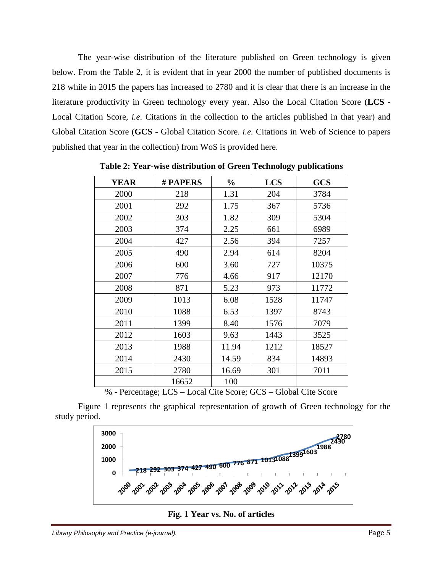The year-wise distribution of the literature published on Green technology is given below. From the Table 2, it is evident that in year 2000 the number of published documents is 218 while in 2015 the papers has increased to 2780 and it is clear that there is an increase in the literature productivity in Green technology every year. Also the Local Citation Score (**LCS -** Local Citation Score, *i.e*. Citations in the collection to the articles published in that year) and Global Citation Score (**GCS -** Global Citation Score. *i.e.* Citations in Web of Science to papers published that year in the collection) from WoS is provided here.

| <b>YEAR</b> | # PAPERS | $\frac{0}{0}$ | <b>LCS</b>                             | <b>GCS</b> |
|-------------|----------|---------------|----------------------------------------|------------|
| 2000        | 218      | 1.31          | 204                                    | 3784       |
| 2001        | 292      | 1.75          | 367                                    | 5736       |
| 2002        | 303      | 1.82          | 309                                    | 5304       |
| 2003        | 374      | 2.25          | 661                                    | 6989       |
| 2004        | 427      | 2.56          | 394                                    | 7257       |
| 2005        | 490      | 2.94          | 614                                    | 8204       |
| 2006        | 600      | 3.60          | 727                                    | 10375      |
| 2007        | 776      | 4.66          | 917                                    | 12170      |
| 2008        | 871      | 5.23          | 973                                    | 11772      |
| 2009        | 1013     | 6.08          | 1528                                   | 11747      |
| 2010        | 1088     | 6.53          | 1397                                   | 8743       |
| 2011        | 1399     | 8.40          | 1576                                   | 7079       |
| 2012        | 1603     | 9.63          | 1443                                   | 3525       |
| 2013        | 1988     | 11.94         | 1212                                   | 18527      |
| 2014        | 2430     | 14.59         | 834                                    | 14893      |
| 2015        | 2780     | 16.69         | 301                                    | 7011       |
|             | 16652    | 100           | $\sim$ $\sim$ $\sim$<br>$-1$ $-1$ $-1$ |            |

**Table 2: Year-wise distribution of Green Technology publications**

% - Percentage; LCS – Local Cite Score; GCS – Global Cite Score

Figure 1 represents the graphical representation of growth of Green technology for the study period.



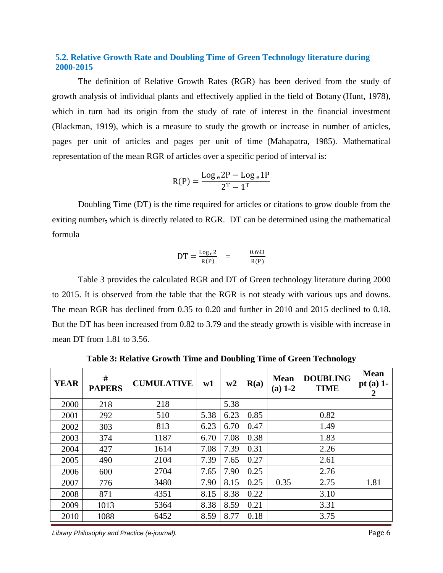### **5.2. Relative Growth Rate and Doubling Time of Green Technology literature during 2000-2015**

The definition of Relative Growth Rates (RGR) has been derived from the study of growth analysis of individual plants and effectively applied in the field of Botany (Hunt, 1978), which in turn had its origin from the study of rate of interest in the financial investment (Blackman, 1919), which is a measure to study the growth or increase in number of articles, pages per unit of articles and pages per unit of time (Mahapatra, 1985). Mathematical representation of the mean RGR of articles over a specific period of interval is:

$$
R(P) = \frac{\log_e 2P - \log_e 1P}{2^T - 1^T}
$$

Doubling Time (DT) is the time required for articles or citations to grow double from the exiting number, which is directly related to RGR. DT can be determined using the mathematical formula

$$
DT = \frac{\log_e 2}{R(P)} = \frac{0.693}{R(P)}
$$

Table 3 provides the calculated RGR and DT of Green technology literature during 2000 to 2015. It is observed from the table that the RGR is not steady with various ups and downs. The mean RGR has declined from 0.35 to 0.20 and further in 2010 and 2015 declined to 0.18. But the DT has been increased from 0.82 to 3.79 and the steady growth is visible with increase in mean DT from 1.81 to 3.56.

| <b>YEAR</b> | #<br><b>PAPERS</b> | <b>CUMULATIVE</b> | w1   | w2   | R(a) | <b>Mean</b><br>$(a)$ 1-2 | <b>DOUBLING</b><br><b>TIME</b> | <b>Mean</b><br>pt (a) $1$ -<br>2 |
|-------------|--------------------|-------------------|------|------|------|--------------------------|--------------------------------|----------------------------------|
| 2000        | 218                | 218               |      | 5.38 |      |                          |                                |                                  |
| 2001        | 292                | 510               | 5.38 | 6.23 | 0.85 |                          | 0.82                           |                                  |
| 2002        | 303                | 813               | 6.23 | 6.70 | 0.47 |                          | 1.49                           |                                  |
| 2003        | 374                | 1187              | 6.70 | 7.08 | 0.38 |                          | 1.83                           |                                  |
| 2004        | 427                | 1614              | 7.08 | 7.39 | 0.31 |                          | 2.26                           |                                  |
| 2005        | 490                | 2104              | 7.39 | 7.65 | 0.27 |                          | 2.61                           |                                  |
| 2006        | 600                | 2704              | 7.65 | 7.90 | 0.25 |                          | 2.76                           |                                  |
| 2007        | 776                | 3480              | 7.90 | 8.15 | 0.25 | 0.35                     | 2.75                           | 1.81                             |
| 2008        | 871                | 4351              | 8.15 | 8.38 | 0.22 |                          | 3.10                           |                                  |
| 2009        | 1013               | 5364              | 8.38 | 8.59 | 0.21 |                          | 3.31                           |                                  |
| 2010        | 1088               | 6452              | 8.59 | 8.77 | 0.18 |                          | 3.75                           |                                  |

**Table 3: Relative Growth Time and Doubling Time of Green Technology**

*Library Philosophy and Practice (e-journal).* Page 6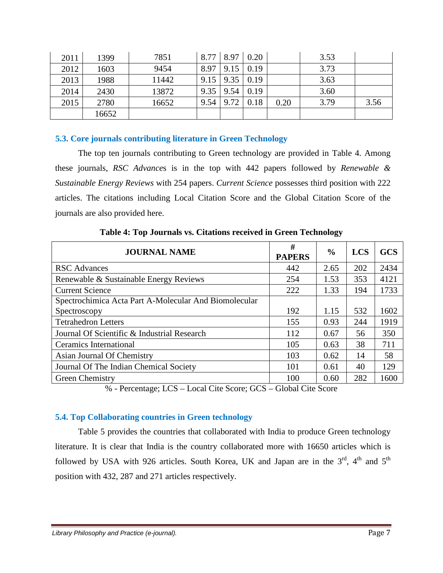| 2011 | 1399  | 7851  | 8.77 |      | 8.97 0.20   |      | 3.53 |      |
|------|-------|-------|------|------|-------------|------|------|------|
| 2012 | 1603  | 9454  | 8.97 | 9.15 | 0.19        |      | 3.73 |      |
| 2013 | 1988  | 11442 | 9.15 | 9.35 | $\mid$ 0.19 |      | 3.63 |      |
| 2014 | 2430  | 13872 | 9.35 | 9.54 | 0.19        |      | 3.60 |      |
| 2015 | 2780  | 16652 | 9.54 | 9.72 | 0.18        | 0.20 | 3.79 | 3.56 |
|      | 16652 |       |      |      |             |      |      |      |

## **5.3. Core journals contributing literature in Green Technology**

The top ten journals contributing to Green technology are provided in Table 4. Among these journals, *RSC Advance*s is in the top with 442 papers followed by *Renewable & Sustainable Energy Reviews* with 254 papers. *Current Science* possesses third position with 222 articles. The citations including Local Citation Score and the Global Citation Score of the journals are also provided here.

| <b>JOURNAL NAME</b>                                   | #<br><b>PAPERS</b> | $\frac{6}{9}$ | <b>LCS</b> | <b>GCS</b> |
|-------------------------------------------------------|--------------------|---------------|------------|------------|
| <b>RSC</b> Advances                                   | 442                | 2.65          | 202        | 2434       |
| Renewable & Sustainable Energy Reviews                | 254                | 1.53          | 353        | 4121       |
| <b>Current Science</b>                                | 222                | 1.33          | 194        | 1733       |
| Spectrochimica Acta Part A-Molecular And Biomolecular |                    |               |            |            |
| Spectroscopy                                          | 192                | 1.15          | 532        | 1602       |
| <b>Tetrahedron Letters</b>                            | 155                | 0.93          | 244        | 1919       |
| Journal Of Scientific & Industrial Research           | 112                | 0.67          | 56         | 350        |
| <b>Ceramics International</b>                         | 105                | 0.63          | 38         | 711        |
| Asian Journal Of Chemistry                            | 103                | 0.62          | 14         | 58         |
| Journal Of The Indian Chemical Society                | 101                | 0.61          | 40         | 129        |
| Green Chemistry                                       | 100                | 0.60          | 282        | 1600       |

**Table 4: Top Journals vs. Citations received in Green Technology**

% - Percentage; LCS – Local Cite Score; GCS – Global Cite Score

#### **5.4. Top Collaborating countries in Green technology**

Table 5 provides the countries that collaborated with India to produce Green technology literature. It is clear that India is the country collaborated more with 16650 articles which is followed by USA with 926 articles. South Korea, UK and Japan are in the  $3<sup>rd</sup>$ ,  $4<sup>th</sup>$  and  $5<sup>th</sup>$ position with 432, 287 and 271 articles respectively.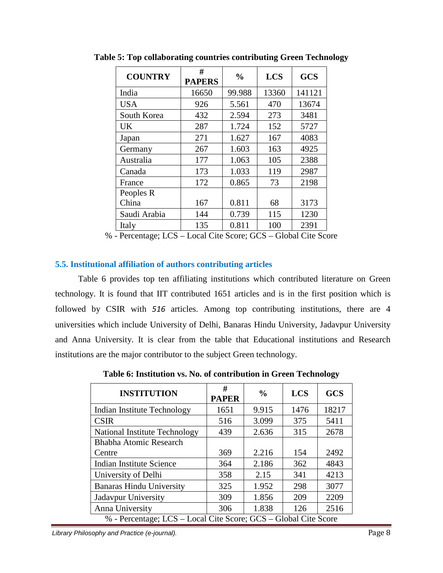| <b>COUNTRY</b> | #<br><b>PAPERS</b> | $\frac{0}{0}$ | <b>LCS</b> | <b>GCS</b> |
|----------------|--------------------|---------------|------------|------------|
| India          | 16650              | 99.988        | 13360      | 141121     |
| <b>USA</b>     | 926                | 5.561         | 470        | 13674      |
| South Korea    | 432                | 2.594         | 273        | 3481       |
| UK             | 287                | 1.724         | 152        | 5727       |
| Japan          | 271                | 1.627         | 167        | 4083       |
| Germany        | 267                | 1.603         | 163        | 4925       |
| Australia      | 177                | 1.063         | 105        | 2388       |
| Canada         | 173                | 1.033         | 119        | 2987       |
| France         | 172                | 0.865         | 73         | 2198       |
| Peoples R      |                    |               |            |            |
| China          | 167                | 0.811         | 68         | 3173       |
| Saudi Arabia   | 144                | 0.739         | 115        | 1230       |
| Italy          | 135                | 0.811         | 100        | 2391       |

**Table 5: Top collaborating countries contributing Green Technology**

% - Percentage; LCS – Local Cite Score; GCS – Global Cite Score

# **5.5. Institutional affiliation of authors contributing articles**

Table 6 provides top ten affiliating institutions which contributed literature on Green technology. It is found that IIT contributed 1651 articles and is in the first position which is followed by CSIR with *516* articles. Among top contributing institutions, there are 4 universities which include University of Delhi, Banaras Hindu University, Jadavpur University and Anna University. It is clear from the table that Educational institutions and Research institutions are the major contributor to the subject Green technology.

**INSTITUTION #**   $P_{\text{APER}}$   $\begin{array}{c|c} \sim \text{UCS} & \text{GCS} \end{array}$ Indian Institute Technology | 1651 | 9.915 | 1476 | 18217 CSIR 199 316 3.099 375 5411 National Institute Technology | 439 | 2.636 | 315 | 2678 Bhabha Atomic Research Centre 19 369 2.216 154 2492 Indian Institute Science 1 364 2.186 362 4843 University of Delhi 1358 2.15 341 4213 Banaras Hindu University  $\begin{array}{|c|c|c|c|c|c|} \hline 325 & 1.952 & 298 & 3077 \ \hline \end{array}$ Jadavpur University 309 1.856 209 2209 Anna University 1.838 1.838 126 2516 % - Percentage; LCS – Local Cite Score; GCS – Global Cite Score

**Table 6: Institution vs. No. of contribution in Green Technology**

*Library Philosophy and Practice (e-journal).* Page 8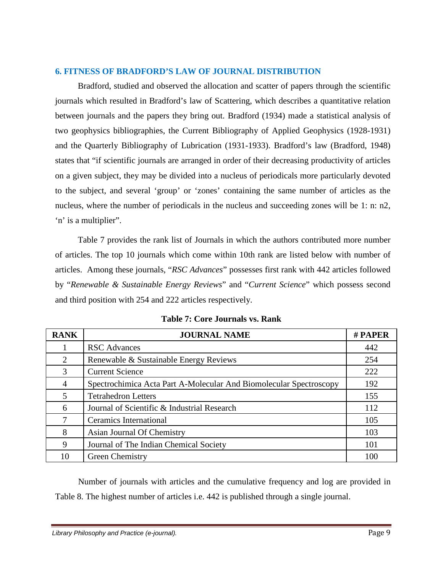### **6. FITNESS OF BRADFORD'S LAW OF JOURNAL DISTRIBUTION**

Bradford, studied and observed the allocation and scatter of papers through the scientific journals which resulted in Bradford's law of Scattering, which describes a quantitative relation between journals and the papers they bring out. Bradford (1934) made a statistical analysis of two geophysics bibliographies, the Current Bibliography of Applied Geophysics (1928-1931) and the Quarterly Bibliography of Lubrication (1931-1933). Bradford's law (Bradford, 1948) states that "if scientific journals are arranged in order of their decreasing productivity of articles on a given subject, they may be divided into a nucleus of periodicals more particularly devoted to the subject, and several 'group' or 'zones' containing the same number of articles as the nucleus, where the number of periodicals in the nucleus and succeeding zones will be 1: n: n2, 'n' is a multiplier".

Table 7 provides the rank list of Journals in which the authors contributed more number of articles. The top 10 journals which come within 10th rank are listed below with number of articles. Among these journals, "*RSC Advances*" possesses first rank with 442 articles followed by "*Renewable & Sustainable Energy Reviews*" and "*Current Science*" which possess second and third position with 254 and 222 articles respectively.

| <b>RANK</b> | <b>JOURNAL NAME</b>                                                | # PAPER |
|-------------|--------------------------------------------------------------------|---------|
|             | <b>RSC</b> Advances                                                | 442     |
| 2           | Renewable & Sustainable Energy Reviews                             | 254     |
| 3           | <b>Current Science</b>                                             | 222     |
| 4           | Spectrochimica Acta Part A-Molecular And Biomolecular Spectroscopy | 192     |
| 5.          | <b>Tetrahedron Letters</b>                                         | 155     |
| 6           | Journal of Scientific & Industrial Research                        | 112     |
|             | Ceramics International                                             | 105     |
| 8           | Asian Journal Of Chemistry                                         | 103     |
| 9           | Journal of The Indian Chemical Society                             | 101     |
| 10          | Green Chemistry                                                    | 100     |

**Table 7: Core Journals vs. Rank**

Number of journals with articles and the cumulative frequency and log are provided in Table 8. The highest number of articles i.e. 442 is published through a single journal.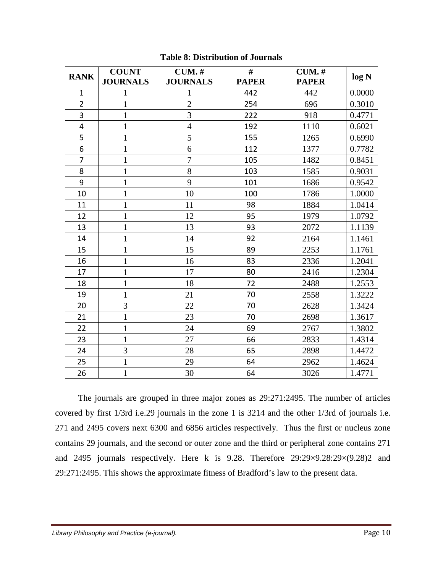| <b>RANK</b>             | <b>COUNT</b>    | $CUM.$ #        | #            | $CUM.$ #     | log N  |
|-------------------------|-----------------|-----------------|--------------|--------------|--------|
|                         | <b>JOURNALS</b> | <b>JOURNALS</b> | <b>PAPER</b> | <b>PAPER</b> |        |
| $\mathbf{1}$            | $\mathbf{1}$    | 1               | 442          | 442          | 0.0000 |
| $\overline{2}$          | $\mathbf{1}$    | $\overline{2}$  | 254          | 696          | 0.3010 |
| 3                       | $\mathbf{1}$    | 3               | 222          | 918          | 0.4771 |
| $\overline{\mathbf{4}}$ | $\mathbf{1}$    | $\overline{4}$  | 192          | 1110         | 0.6021 |
| 5                       | $\mathbf{1}$    | 5               | 155          | 1265         | 0.6990 |
| 6                       | $\mathbf{1}$    | 6               | 112          | 1377         | 0.7782 |
| $\overline{7}$          | $\mathbf{1}$    | $\overline{7}$  | 105          | 1482         | 0.8451 |
| 8                       | $\mathbf{1}$    | 8               | 103          | 1585         | 0.9031 |
| 9                       | $\mathbf{1}$    | 9               | 101          | 1686         | 0.9542 |
| 10                      | $\mathbf{1}$    | 10              | 100          | 1786         | 1.0000 |
| 11                      | $\mathbf{1}$    | 11              | 98           | 1884         | 1.0414 |
| 12                      | $\mathbf{1}$    | 12              | 95           | 1979         | 1.0792 |
| 13                      | $\mathbf{1}$    | 13              | 93           | 2072         | 1.1139 |
| 14                      | $\mathbf{1}$    | 14              | 92           | 2164         | 1.1461 |
| 15                      | $\mathbf{1}$    | 15              | 89           | 2253         | 1.1761 |
| 16                      | $\mathbf{1}$    | 16              | 83           | 2336         | 1.2041 |
| 17                      | $\mathbf{1}$    | 17              | 80           | 2416         | 1.2304 |
| 18                      | $\mathbf{1}$    | 18              | 72           | 2488         | 1.2553 |
| 19                      | $\mathbf{1}$    | 21              | 70           | 2558         | 1.3222 |
| 20                      | 3               | 22              | 70           | 2628         | 1.3424 |
| 21                      | $\mathbf{1}$    | 23              | 70           | 2698         | 1.3617 |
| 22                      | $\mathbf{1}$    | 24              | 69           | 2767         | 1.3802 |
| 23                      | $\mathbf{1}$    | 27              | 66           | 2833         | 1.4314 |
| 24                      | $\overline{3}$  | 28              | 65           | 2898         | 1.4472 |
| 25                      | $\mathbf{1}$    | 29              | 64           | 2962         | 1.4624 |
| 26                      | $\mathbf{1}$    | 30              | 64           | 3026         | 1.4771 |

# **Table 8: Distribution of Journals**

The journals are grouped in three major zones as 29:271:2495. The number of articles covered by first 1/3rd i.e.29 journals in the zone 1 is 3214 and the other 1/3rd of journals i.e. and 2495 covers next 6300 and 6856 articles respectively. Thus the first or nucleus zone contains 29 journals, and the second or outer zone and the third or peripheral zone contains 271 and 2495 journals respectively. Here k is 9.28. Therefore 29:29×9.28:29×(9.28)2 and 29:271:2495. This shows the approximate fitness of Bradford's law to the present data.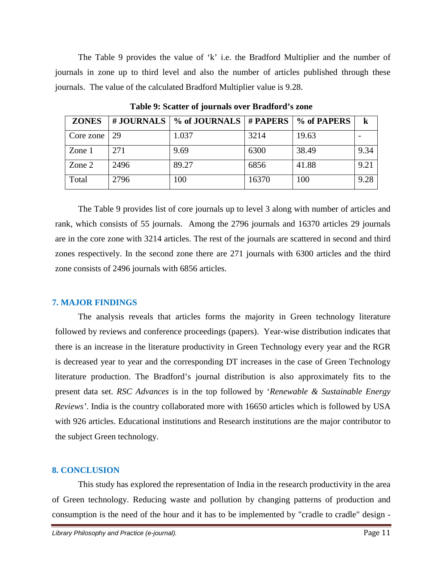The Table 9 provides the value of 'k' i.e. the Bradford Multiplier and the number of journals in zone up to third level and also the number of articles published through these journals. The value of the calculated Bradford Multiplier value is 9.28.

| <b>ZONES</b> |      | # JOURNALS $\mid$ % of JOURNALS $\mid$ # PAPERS $\mid$ % of PAPERS |       |       |      |
|--------------|------|--------------------------------------------------------------------|-------|-------|------|
| Core zone    | 29   | 1.037                                                              | 3214  | 19.63 |      |
| Zone 1       | 271  | 9.69                                                               | 6300  | 38.49 | 9.34 |
| Zone 2       | 2496 | 89.27                                                              | 6856  | 41.88 | 9.21 |
| Total        | 2796 | 100                                                                | 16370 | 100   | 9.28 |

**Table 9: Scatter of journals over Bradford's zone**

The Table 9 provides list of core journals up to level 3 along with number of articles and rank, which consists of 55 journals. Among the 2796 journals and 16370 articles 29 journals are in the core zone with 3214 articles. The rest of the journals are scattered in second and third zones respectively. In the second zone there are 271 journals with 6300 articles and the third zone consists of 2496 journals with 6856 articles.

# **7. MAJOR FINDINGS**

The analysis reveals that articles forms the majority in Green technology literature followed by reviews and conference proceedings (papers). Year-wise distribution indicates that there is an increase in the literature productivity in Green Technology every year and the RGR is decreased year to year and the corresponding DT increases in the case of Green Technology literature production. The Bradford's journal distribution is also approximately fits to the present data set. *RSC Advances* is in the top followed by '*Renewable & Sustainable Energy Reviews'*. India is the country collaborated more with 16650 articles which is followed by USA with 926 articles. Educational institutions and Research institutions are the major contributor to the subject Green technology.

# **8. CONCLUSION**

This study has explored the representation of India in the research productivity in the area of Green technology. Reducing waste and pollution by changing patterns of production and consumption is the need of the hour and it has to be implemented by "cradle to cradle" design -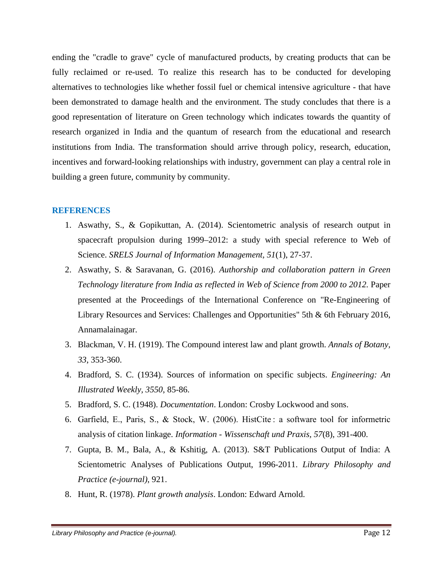ending the "cradle to grave" cycle of manufactured products, by creating products that can be fully reclaimed or re-used. To realize this research has to be conducted for developing alternatives to technologies like whether fossil fuel or chemical intensive agriculture - that have been demonstrated to damage health and the environment. The study concludes that there is a good representation of literature on Green technology which indicates towards the quantity of research organized in India and the quantum of research from the educational and research institutions from India. The transformation should arrive through policy, research, education, incentives and forward-looking relationships with industry, government can play a central role in building a green future, community by community.

#### **REFERENCES**

- 1. Aswathy, S., & Gopikuttan, A. (2014). Scientometric analysis of research output in spacecraft propulsion during 1999–2012: a study with special reference to Web of Science. *SRELS Journal of Information Management, 51*(1), 27-37.
- 2. Aswathy, S. & Saravanan, G. (2016). *Authorship and collaboration pattern in Green Technology literature from India as reflected in Web of Science from 2000 to 2012.* Paper presented at the Proceedings of the International Conference on "Re-Engineering of Library Resources and Services: Challenges and Opportunities" 5th & 6th February 2016, Annamalainagar.
- 3. Blackman, V. H. (1919). The Compound interest law and plant growth. *Annals of Botany, 33*, 353-360.
- 4. Bradford, S. C. (1934). Sources of information on specific subjects. *Engineering: An Illustrated Weekly, 3550*, 85-86.
- 5. Bradford, S. C. (1948). *Documentation*. London: Crosby Lockwood and sons.
- 6. Garfield, E., Paris, S., & Stock, W. (2006). HistCite : a software tool for informetric analysis of citation linkage. *Information - Wissenschaft und Praxis, 57*(8), 391-400.
- 7. Gupta, B. M., Bala, A., & Kshitig, A. (2013). S&T Publications Output of India: A Scientometric Analyses of Publications Output, 1996-2011. *Library Philosophy and Practice (e-journal)*, 921.
- 8. Hunt, R. (1978). *Plant growth analysis*. London: Edward Arnold.